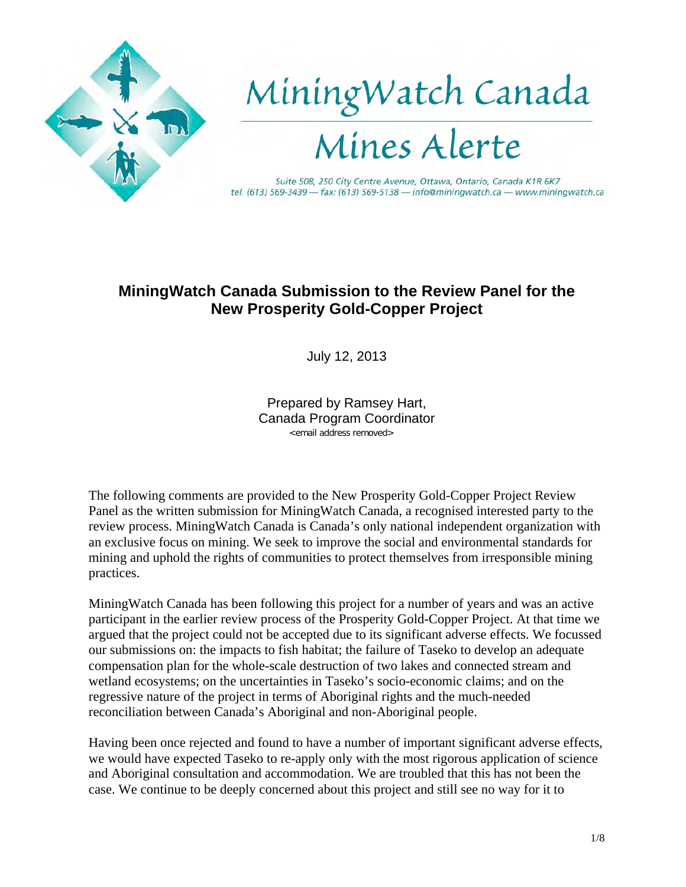

## **MiningWatch Canada Submission to the Review Panel for the New Prosperity Gold-Copper Project**

July 12, 2013

Prepared by Ramsey Hart, Canada Program Coordinator <email address removed>

The following comments are provided to the New Prosperity Gold-Copper Project Review Panel as the written submission for MiningWatch Canada, a recognised interested party to the review process. MiningWatch Canada is Canada's only national independent organization with an exclusive focus on mining. We seek to improve the social and environmental standards for mining and uphold the rights of communities to protect themselves from irresponsible mining practices.

MiningWatch Canada has been following this project for a number of years and was an active participant in the earlier review process of the Prosperity Gold-Copper Project. At that time we argued that the project could not be accepted due to its significant adverse effects. We focussed our submissions on: the impacts to fish habitat; the failure of Taseko to develop an adequate compensation plan for the whole-scale destruction of two lakes and connected stream and wetland ecosystems; on the uncertainties in Taseko's socio-economic claims; and on the regressive nature of the project in terms of Aboriginal rights and the much-needed reconciliation between Canada's Aboriginal and non-Aboriginal people.

Having been once rejected and found to have a number of important significant adverse effects, we would have expected Taseko to re-apply only with the most rigorous application of science and Aboriginal consultation and accommodation. We are troubled that this has not been the case. We continue to be deeply concerned about this project and still see no way for it to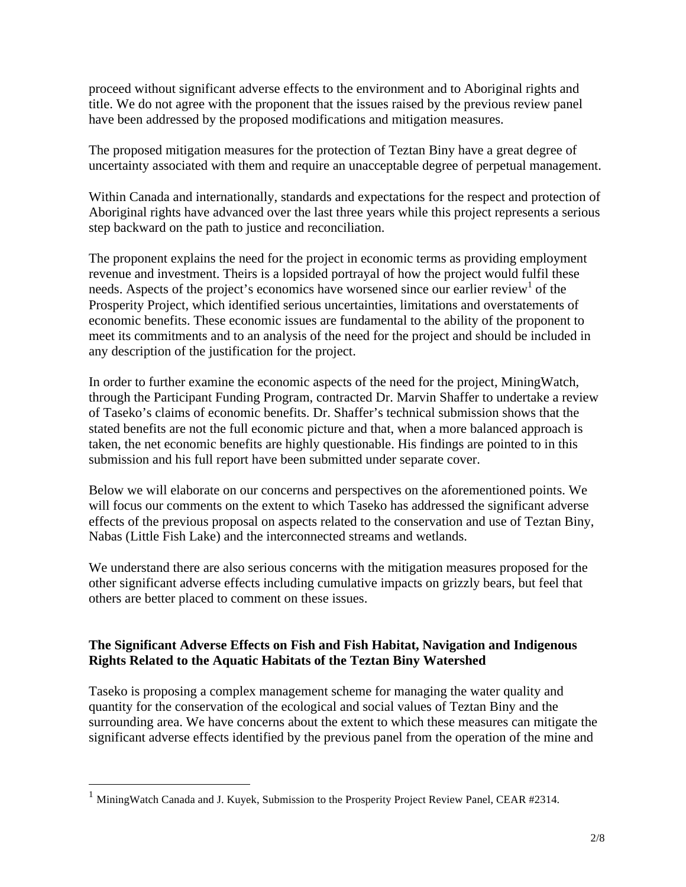proceed without significant adverse effects to the environment and to Aboriginal rights and title. We do not agree with the proponent that the issues raised by the previous review panel have been addressed by the proposed modifications and mitigation measures.

The proposed mitigation measures for the protection of Teztan Biny have a great degree of uncertainty associated with them and require an unacceptable degree of perpetual management.

Within Canada and internationally, standards and expectations for the respect and protection of Aboriginal rights have advanced over the last three years while this project represents a serious step backward on the path to justice and reconciliation.

The proponent explains the need for the project in economic terms as providing employment revenue and investment. Theirs is a lopsided portrayal of how the project would fulfil these needs. Aspects of the project's economics have worsened since our earlier review of the Prosperity Project, which identified serious uncertainties, limitations and overstatements of economic benefits. These economic issues are fundamental to the ability of the proponent to meet its commitments and to an analysis of the need for the project and should be included in any description of the justification for the project.

In order to further examine the economic aspects of the need for the project, MiningWatch, through the Participant Funding Program, contracted Dr. Marvin Shaffer to undertake a review of Taseko's claims of economic benefits. Dr. Shaffer's technical submission shows that the stated benefits are not the full economic picture and that, when a more balanced approach is taken, the net economic benefits are highly questionable. His findings are pointed to in this submission and his full report have been submitted under separate cover.

Below we will elaborate on our concerns and perspectives on the aforementioned points. We will focus our comments on the extent to which Taseko has addressed the significant adverse effects of the previous proposal on aspects related to the conservation and use of Teztan Biny, Nabas (Little Fish Lake) and the interconnected streams and wetlands.

We understand there are also serious concerns with the mitigation measures proposed for the other significant adverse effects including cumulative impacts on grizzly bears, but feel that others are better placed to comment on these issues.

## **The Significant Adverse Effects on Fish and Fish Habitat, Navigation and Indigenous Rights Related to the Aquatic Habitats of the Teztan Biny Watershed**

Taseko is proposing a complex management scheme for managing the water quality and quantity for the conservation of the ecological and social values of Teztan Biny and the surrounding area. We have concerns about the extent to which these measures can mitigate the significant adverse effects identified by the previous panel from the operation of the mine and

<sup>1</sup> MiningWatch Canada and J. Kuyek, Submission to the Prosperity Project Review Panel, CEAR #2314.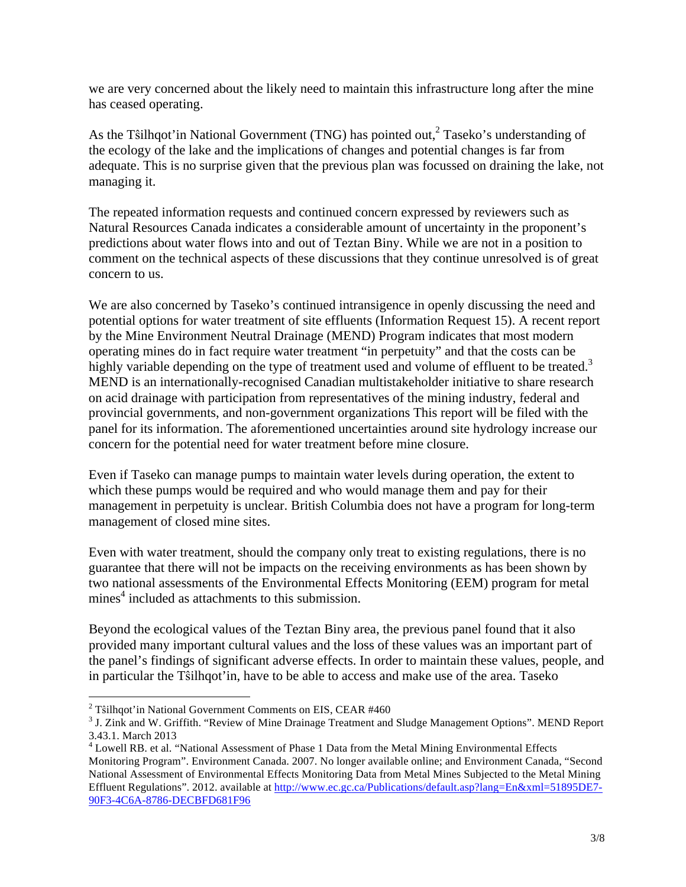we are very concerned about the likely need to maintain this infrastructure long after the mine has ceased operating.

As the Tstilhqot'in National Government (TNG) has pointed out,<sup>2</sup> Taseko's understanding of the ecology of the lake and the implications of changes and potential changes is far from adequate. This is no surprise given that the previous plan was focussed on draining the lake, not managing it.

The repeated information requests and continued concern expressed by reviewers such as Natural Resources Canada indicates a considerable amount of uncertainty in the proponent's predictions about water flows into and out of Teztan Biny. While we are not in a position to comment on the technical aspects of these discussions that they continue unresolved is of great concern to us.

We are also concerned by Taseko's continued intransigence in openly discussing the need and potential options for water treatment of site effluents (Information Request 15). A recent report by the Mine Environment Neutral Drainage (MEND) Program indicates that most modern operating mines do in fact require water treatment "in perpetuity" and that the costs can be highly variable depending on the type of treatment used and volume of effluent to be treated.<sup>3</sup> MEND is an internationally-recognised Canadian multistakeholder initiative to share research on acid drainage with participation from representatives of the mining industry, federal and provincial governments, and non-government organizations This report will be filed with the panel for its information. The aforementioned uncertainties around site hydrology increase our concern for the potential need for water treatment before mine closure.

Even if Taseko can manage pumps to maintain water levels during operation, the extent to which these pumps would be required and who would manage them and pay for their management in perpetuity is unclear. British Columbia does not have a program for long-term management of closed mine sites.

Even with water treatment, should the company only treat to existing regulations, there is no guarantee that there will not be impacts on the receiving environments as has been shown by two national assessments of the Environmental Effects Monitoring (EEM) program for metal mines<sup>4</sup> included as attachments to this submission.

Beyond the ecological values of the Teztan Biny area, the previous panel found that it also provided many important cultural values and the loss of these values was an important part of the panel's findings of significant adverse effects. In order to maintain these values, people, and in particular the Tŝilhqot'in, have to be able to access and make use of the area. Taseko

<sup>&</sup>lt;sup>2</sup> Tŝilhqot'in National Government Comments on EIS, CEAR #460<br><sup>3</sup> J. Zink and W. Griffith. "Review of Mine Drainage Treatment and Sludge Management Options". MEND Report 3.43.1. March 2013

<sup>&</sup>lt;sup>4</sup> Lowell RB. et al. "National Assessment of Phase 1 Data from the Metal Mining Environmental Effects Monitoring Program". Environment Canada. 2007. No longer available online; and Environment Canada, "Second National Assessment of Environmental Effects Monitoring Data from Metal Mines Subjected to the Metal Mining Effluent Regulations". 2012. available at http://www.ec.gc.ca/Publications/default.asp?lang=En&xml=51895DE7- 90F3-4C6A-8786-DECBFD681F96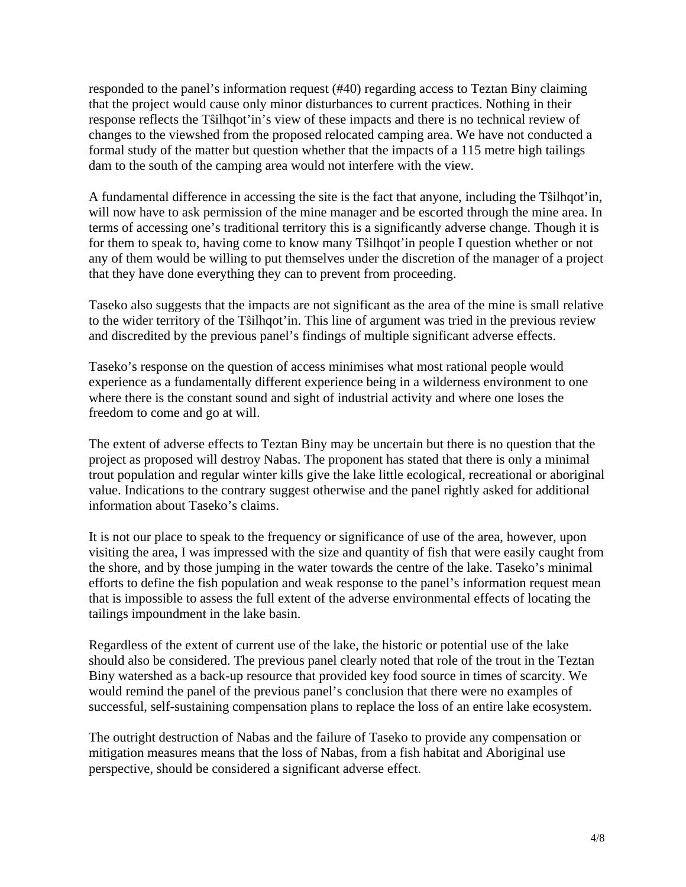responded to the panel's information request (#40) regarding access to Teztan Biny claiming that the project would cause only minor disturbances to current practices. Nothing in their response reflects the Tŝilhqot'in's view of these impacts and there is no technical review of changes to the viewshed from the proposed relocated camping area. We have not conducted a formal study of the matter but question whether that the impacts of a 115 metre high tailings dam to the south of the camping area would not interfere with the view.

A fundamental difference in accessing the site is the fact that anyone, including the Tŝilhqot'in, will now have to ask permission of the mine manager and be escorted through the mine area. In terms of accessing one's traditional territory this is a significantly adverse change. Though it is for them to speak to, having come to know many Tŝilhqot'in people I question whether or not any of them would be willing to put themselves under the discretion of the manager of a project that they have done everything they can to prevent from proceeding.

Taseko also suggests that the impacts are not significant as the area of the mine is small relative to the wider territory of the Tŝilhqot'in. This line of argument was tried in the previous review and discredited by the previous panel's findings of multiple significant adverse effects.

Taseko's response on the question of access minimises what most rational people would experience as a fundamentally different experience being in a wilderness environment to one where there is the constant sound and sight of industrial activity and where one loses the freedom to come and go at will.

The extent of adverse effects to Teztan Biny may be uncertain but there is no question that the project as proposed will destroy Nabas. The proponent has stated that there is only a minimal trout population and regular winter kills give the lake little ecological, recreational or aboriginal value. Indications to the contrary suggest otherwise and the panel rightly asked for additional information about Taseko's claims.

It is not our place to speak to the frequency or significance of use of the area, however, upon visiting the area, I was impressed with the size and quantity of fish that were easily caught from the shore, and by those jumping in the water towards the centre of the lake. Taseko's minimal efforts to define the fish population and weak response to the panel's information request mean that is impossible to assess the full extent of the adverse environmental effects of locating the tailings impoundment in the lake basin.

Regardless of the extent of current use of the lake, the historic or potential use of the lake should also be considered. The previous panel clearly noted that role of the trout in the Teztan Biny watershed as a back-up resource that provided key food source in times of scarcity. We would remind the panel of the previous panel's conclusion that there were no examples of successful, self-sustaining compensation plans to replace the loss of an entire lake ecosystem.

The outright destruction of Nabas and the failure of Taseko to provide any compensation or mitigation measures means that the loss of Nabas, from a fish habitat and Aboriginal use perspective, should be considered a significant adverse effect.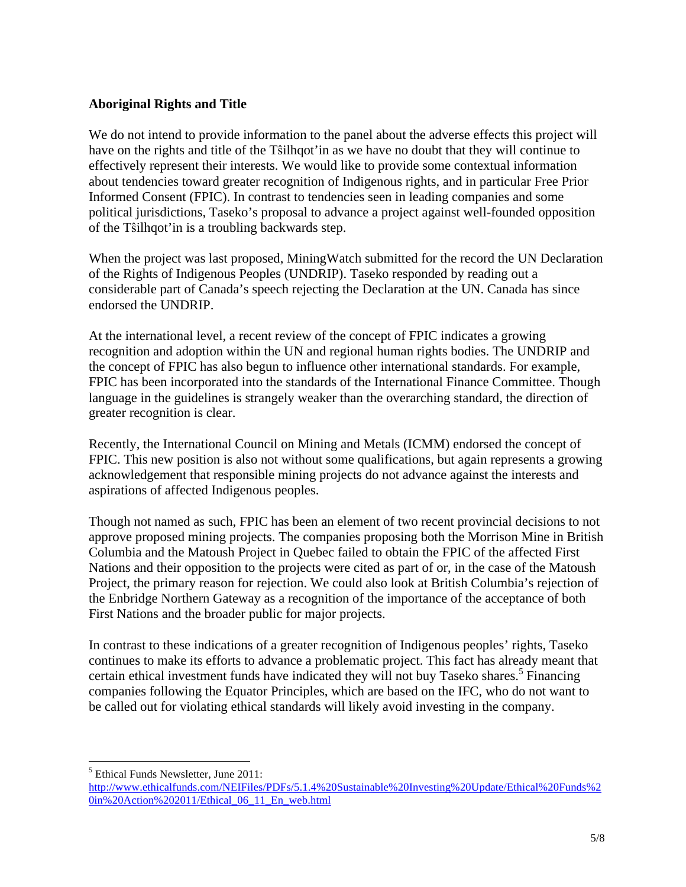## **Aboriginal Rights and Title**

We do not intend to provide information to the panel about the adverse effects this project will have on the rights and title of the Tŝilhqot'in as we have no doubt that they will continue to effectively represent their interests. We would like to provide some contextual information about tendencies toward greater recognition of Indigenous rights, and in particular Free Prior Informed Consent (FPIC). In contrast to tendencies seen in leading companies and some political jurisdictions, Taseko's proposal to advance a project against well-founded opposition of the Tŝilhqot'in is a troubling backwards step.

When the project was last proposed, MiningWatch submitted for the record the UN Declaration of the Rights of Indigenous Peoples (UNDRIP). Taseko responded by reading out a considerable part of Canada's speech rejecting the Declaration at the UN. Canada has since endorsed the UNDRIP.

At the international level, a recent review of the concept of FPIC indicates a growing recognition and adoption within the UN and regional human rights bodies. The UNDRIP and the concept of FPIC has also begun to influence other international standards. For example, FPIC has been incorporated into the standards of the International Finance Committee. Though language in the guidelines is strangely weaker than the overarching standard, the direction of greater recognition is clear.

Recently, the International Council on Mining and Metals (ICMM) endorsed the concept of FPIC. This new position is also not without some qualifications, but again represents a growing acknowledgement that responsible mining projects do not advance against the interests and aspirations of affected Indigenous peoples.

Though not named as such, FPIC has been an element of two recent provincial decisions to not approve proposed mining projects. The companies proposing both the Morrison Mine in British Columbia and the Matoush Project in Quebec failed to obtain the FPIC of the affected First Nations and their opposition to the projects were cited as part of or, in the case of the Matoush Project, the primary reason for rejection. We could also look at British Columbia's rejection of the Enbridge Northern Gateway as a recognition of the importance of the acceptance of both First Nations and the broader public for major projects.

In contrast to these indications of a greater recognition of Indigenous peoples' rights, Taseko continues to make its efforts to advance a problematic project. This fact has already meant that certain ethical investment funds have indicated they will not buy Taseko shares.<sup>5</sup> Financing companies following the Equator Principles, which are based on the IFC, who do not want to be called out for violating ethical standards will likely avoid investing in the company.

 $\overline{a}$ <sup>5</sup> Ethical Funds Newsletter, June 2011:

http://www.ethicalfunds.com/NEIFiles/PDFs/5.1.4%20Sustainable%20Investing%20Update/Ethical%20Funds%2 0in%20Action%202011/Ethical\_06\_11\_En\_web.html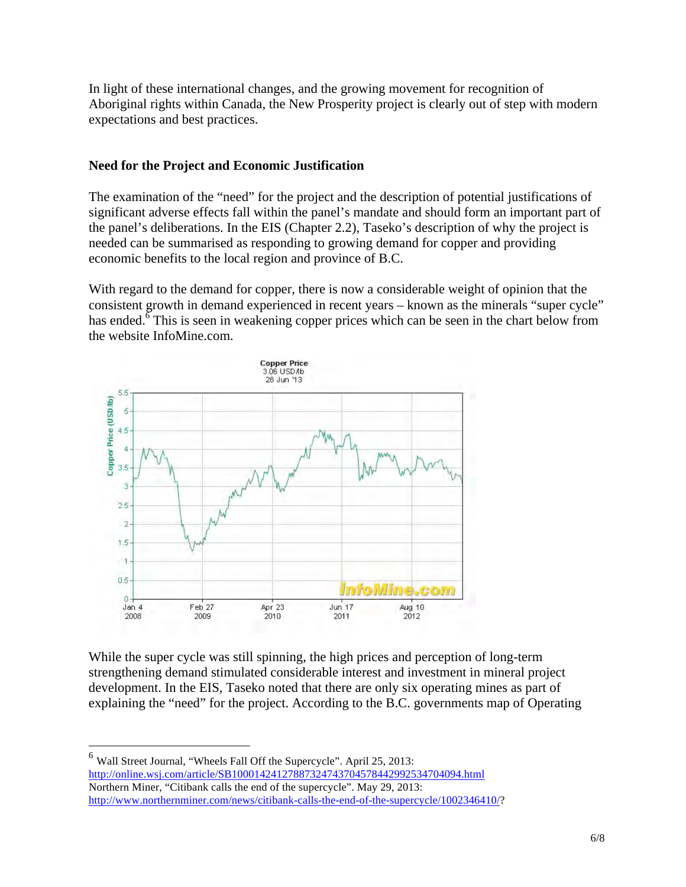In light of these international changes, and the growing movement for recognition of Aboriginal rights within Canada, the New Prosperity project is clearly out of step with modern expectations and best practices.

## **Need for the Project and Economic Justification**

The examination of the "need" for the project and the description of potential justifications of significant adverse effects fall within the panel's mandate and should form an important part of the panel's deliberations. In the EIS (Chapter 2.2), Taseko's description of why the project is needed can be summarised as responding to growing demand for copper and providing economic benefits to the local region and province of B.C.

With regard to the demand for copper, there is now a considerable weight of opinion that the consistent growth in demand experienced in recent years – known as the minerals "super cycle" has ended.<sup> $\delta$ </sup> This is seen in weakening copper prices which can be seen in the chart below from the website InfoMine.com.



While the super cycle was still spinning, the high prices and perception of long-term strengthening demand stimulated considerable interest and investment in mineral project development. In the EIS, Taseko noted that there are only six operating mines as part of explaining the "need" for the project. According to the B.C. governments map of Operating

<sup>6</sup> Wall Street Journal, "Wheels Fall Off the Supercycle". April 25, 2013: http://online.wsj.com/article/SB10001424127887324743704578442992534704094.html Northern Miner, "Citibank calls the end of the supercycle". May 29, 2013: http://www.northernminer.com/news/citibank-calls-the-end-of-the-supercycle/1002346410/?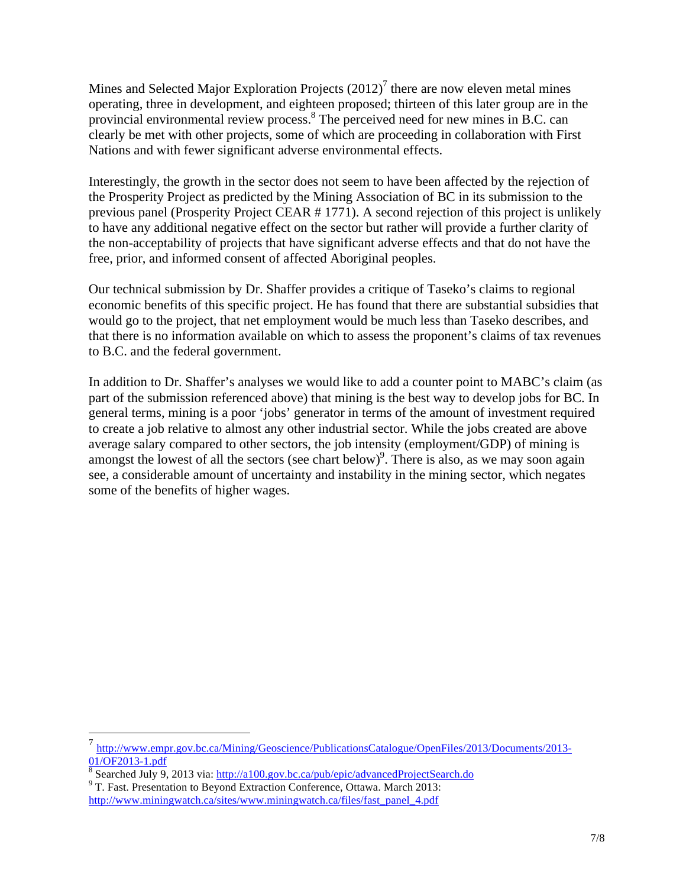Mines and Selected Major Exploration Projects  $(2012)^7$  there are now eleven metal mines operating, three in development, and eighteen proposed; thirteen of this later group are in the provincial environmental review process.<sup>8</sup> The perceived need for new mines in B.C. can clearly be met with other projects, some of which are proceeding in collaboration with First Nations and with fewer significant adverse environmental effects.

Interestingly, the growth in the sector does not seem to have been affected by the rejection of the Prosperity Project as predicted by the Mining Association of BC in its submission to the previous panel (Prosperity Project CEAR # 1771). A second rejection of this project is unlikely to have any additional negative effect on the sector but rather will provide a further clarity of the non-acceptability of projects that have significant adverse effects and that do not have the free, prior, and informed consent of affected Aboriginal peoples.

Our technical submission by Dr. Shaffer provides a critique of Taseko's claims to regional economic benefits of this specific project. He has found that there are substantial subsidies that would go to the project, that net employment would be much less than Taseko describes, and that there is no information available on which to assess the proponent's claims of tax revenues to B.C. and the federal government.

In addition to Dr. Shaffer's analyses we would like to add a counter point to MABC's claim (as part of the submission referenced above) that mining is the best way to develop jobs for BC. In general terms, mining is a poor 'jobs' generator in terms of the amount of investment required to create a job relative to almost any other industrial sector. While the jobs created are above average salary compared to other sectors, the job intensity (employment/GDP) of mining is amongst the lowest of all the sectors (see chart below)<sup>9</sup>. There is also, as we may soon again see, a considerable amount of uncertainty and instability in the mining sector, which negates some of the benefits of higher wages.

<sup>7</sup> http://www.empr.gov.bc.ca/Mining/Geoscience/PublicationsCatalogue/OpenFiles/2013/Documents/2013-

 $\frac{01/OF2013-1.pdf}{8}$  Searched July 9, 2013 via: http://a100.gov.bc.ca/pub/epic/advancedProjectSearch.do 9 T. Fast. Presentation to Beyond Extraction Conference, Ottawa. March 2013:

http://www.miningwatch.ca/sites/www.miningwatch.ca/files/fast\_panel\_4.pdf